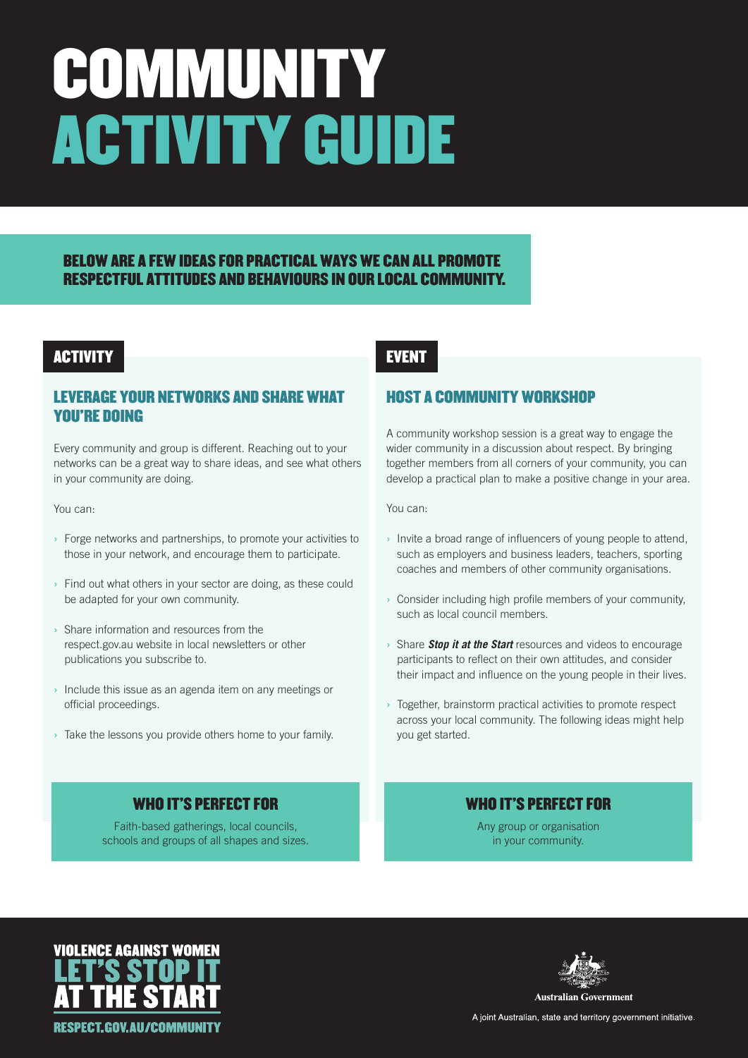#### LEVERAGE YOUR NETWORKS AND SHARE WHAT YOU'RE DOING

Every community and group is different. Reaching out to your networks can be a great way to share ideas, and see what others in your community are doing.

You can:

- **›** Forge networks and partnerships, to promote your activities to those in your network, and encourage them to participate.
- **›** Find out what others in your sector are doing, as these could be adapted for your own community.
- **›** Share information and resources from the respect.gov.au website in local newsletters or other publications you subscribe to.
- **›** Include this issue as an agenda item on any meetings or official proceedings.
- **›** Take the lessons you provide others home to your family.

# EVENT

## HOST A COMMUNITY WORKSHOP

A community workshop session is a great way to engage the wider community in a discussion about respect. By bringing together members from all corners of your community, you can develop a practical plan to make a positive change in your area.

You can:

- **›** Invite a broad range of influencers of young people to attend, such as employers and business leaders, teachers, sporting coaches and members of other community organisations.
- **›** Consider including high profile members of your community, such as local council members.
- **›** Share *Stop it at the Start* resources and videos to encourage participants to reflect on their own attitudes, and consider their impact and influence on the young people in their lives.
- **›** Together, brainstorm practical activities to promote respect across your local community. The following ideas might help you get started.

#### WHO IT'S PERFECT FOR

Faith-based gatherings, local councils, schools and groups of all shapes and sizes.

#### WHO IT'S PERFECT FOR

Any group or organisation in your community.

# Violence Against Women





**Australian Government** 

A joint Australian, state and territory government initiative.

## BELOW ARE A FEW IDEAS FOR PRACTICAL WAYS WE CAN ALL PROMOTE RESPECTFUL ATTITUDES AND BEHAVIOURS IN OUR LOCAL COMMUNITY.

## **ACTIVITY**

# COMMUNITY ACTIVITY GUIDE